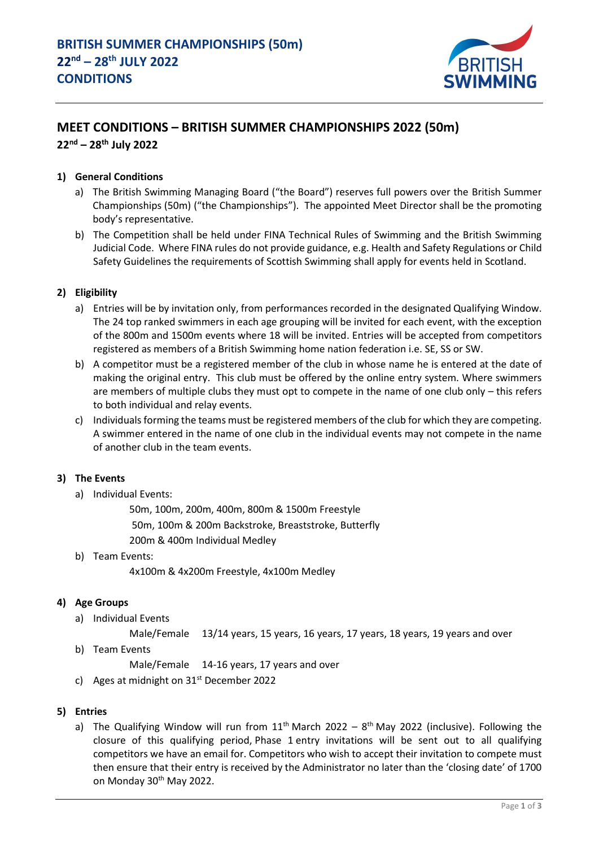

# **MEET CONDITIONS – BRITISH SUMMER CHAMPIONSHIPS 2022 (50m) 22 nd – 28th July 2022**

# **1) General Conditions**

- a) The British Swimming Managing Board ("the Board") reserves full powers over the British Summer Championships (50m) ("the Championships"). The appointed Meet Director shall be the promoting body's representative.
- b) The Competition shall be held under FINA Technical Rules of Swimming and the British Swimming Judicial Code. Where FINA rules do not provide guidance, e.g. Health and Safety Regulations or Child Safety Guidelines the requirements of Scottish Swimming shall apply for events held in Scotland.

#### **2) Eligibility**

- a) Entries will be by invitation only, from performances recorded in the designated Qualifying Window. The 24 top ranked swimmers in each age grouping will be invited for each event, with the exception of the 800m and 1500m events where 18 will be invited. Entries will be accepted from competitors registered as members of a British Swimming home nation federation i.e. SE, SS or SW.
- b) A competitor must be a registered member of the club in whose name he is entered at the date of making the original entry. This club must be offered by the online entry system. Where swimmers are members of multiple clubs they must opt to compete in the name of one club only – this refers to both individual and relay events.
- c) Individuals forming the teams must be registered members of the club for which they are competing. A swimmer entered in the name of one club in the individual events may not compete in the name of another club in the team events.

#### **3) The Events**

a) Individual Events:

50m, 100m, 200m, 400m, 800m & 1500m Freestyle 50m, 100m & 200m Backstroke, Breaststroke, Butterfly 200m & 400m Individual Medley

b) Team Events:

4x100m & 4x200m Freestyle, 4x100m Medley

#### **4) Age Groups**

- a) Individual Events
	- Male/Female 13/14 years, 15 years, 16 years, 17 years, 18 years, 19 years and over
- b) Team Events

Male/Female 14-16 years, 17 years and over

- c) Ages at midnight on  $31<sup>st</sup>$  December 2022
- **5) Entries**
	- a) The Qualifying Window will run from  $11<sup>th</sup>$  March 2022 8<sup>th</sup> May 2022 (inclusive). Following the closure of this qualifying period, Phase 1 entry invitations will be sent out to all qualifying competitors we have an email for. Competitors who wish to accept their invitation to compete must then ensure that their entry is received by the Administrator no later than the 'closing date' of 1700 on Monday 30<sup>th</sup> May 2022.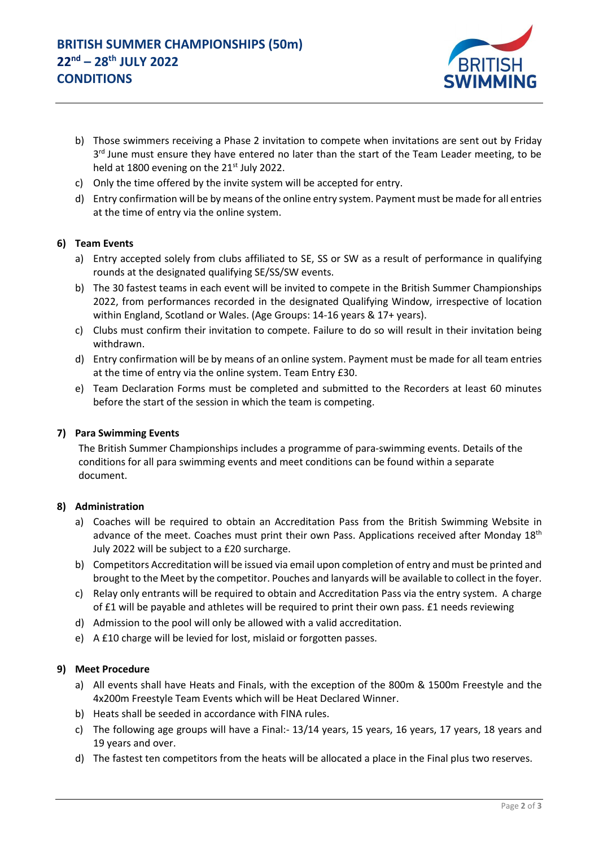

- b) Those swimmers receiving a Phase 2 invitation to compete when invitations are sent out by Friday 3<sup>rd</sup> June must ensure they have entered no later than the start of the Team Leader meeting, to be held at 1800 evening on the 21<sup>st</sup> July 2022.
- c) Only the time offered by the invite system will be accepted for entry.
- d) Entry confirmation will be by means of the online entry system. Payment must be made for all entries at the time of entry via the online system.

# **6) Team Events**

- a) Entry accepted solely from clubs affiliated to SE, SS or SW as a result of performance in qualifying rounds at the designated qualifying SE/SS/SW events.
- b) The 30 fastest teams in each event will be invited to compete in the British Summer Championships 2022, from performances recorded in the designated Qualifying Window, irrespective of location within England, Scotland or Wales. (Age Groups: 14-16 years & 17+ years).
- c) Clubs must confirm their invitation to compete. Failure to do so will result in their invitation being withdrawn.
- d) Entry confirmation will be by means of an online system. Payment must be made for all team entries at the time of entry via the online system. Team Entry £30.
- e) Team Declaration Forms must be completed and submitted to the Recorders at least 60 minutes before the start of the session in which the team is competing.

#### **7) Para Swimming Events**

The British Summer Championships includes a programme of para-swimming events. Details of the conditions for all para swimming events and meet conditions can be found within a separate document.

#### **8) Administration**

- a) Coaches will be required to obtain an Accreditation Pass from the British Swimming Website in advance of the meet. Coaches must print their own Pass. Applications received after Monday 18<sup>th</sup> July 2022 will be subject to a £20 surcharge.
- b) Competitors Accreditation will be issued via email upon completion of entry and must be printed and brought to the Meet by the competitor. Pouches and lanyards will be available to collect in the foyer.
- c) Relay only entrants will be required to obtain and Accreditation Pass via the entry system. A charge of £1 will be payable and athletes will be required to print their own pass. £1 needs reviewing
- d) Admission to the pool will only be allowed with a valid accreditation.
- e) A £10 charge will be levied for lost, mislaid or forgotten passes.

#### **9) Meet Procedure**

- a) All events shall have Heats and Finals, with the exception of the 800m & 1500m Freestyle and the 4x200m Freestyle Team Events which will be Heat Declared Winner.
- b) Heats shall be seeded in accordance with FINA rules.
- c) The following age groups will have a Final:- 13/14 years, 15 years, 16 years, 17 years, 18 years and 19 years and over.
- d) The fastest ten competitors from the heats will be allocated a place in the Final plus two reserves.